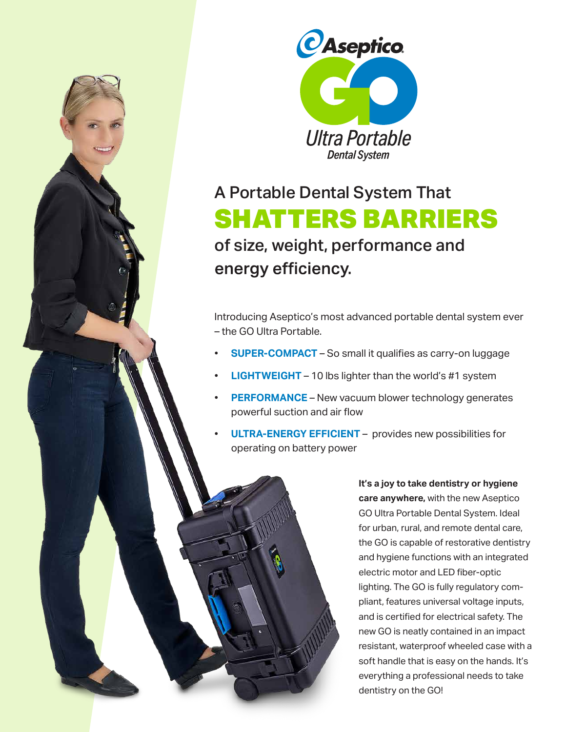



## A Portable Dental System That SHATTERS BARRIERS of size, weight, performance and energy efficiency.

Introducing Aseptico's most advanced portable dental system ever – the GO Ultra Portable.

- **SUPER-COMPACT**  So small it qualifies as carry-on luggage
- **LIGHTWEIGHT** 10 lbs lighter than the world's #1 system
- **PERFORMANCE** New vacuum blower technology generates powerful suction and air flow
- **ULTRA-ENERGY EFFICIENT** provides new possibilities for operating on battery power